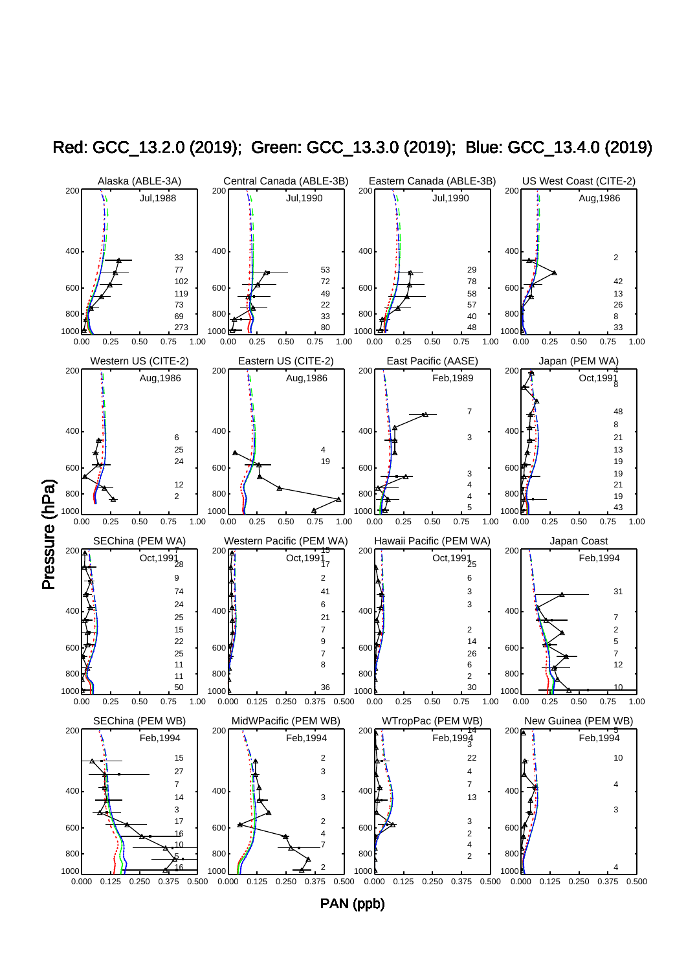

Red: GCC\_13.2.0 (2019); Green: GCC\_13.3.0 (2019); Blue: GCC\_13.4.0 (2019)

PAN (ppb)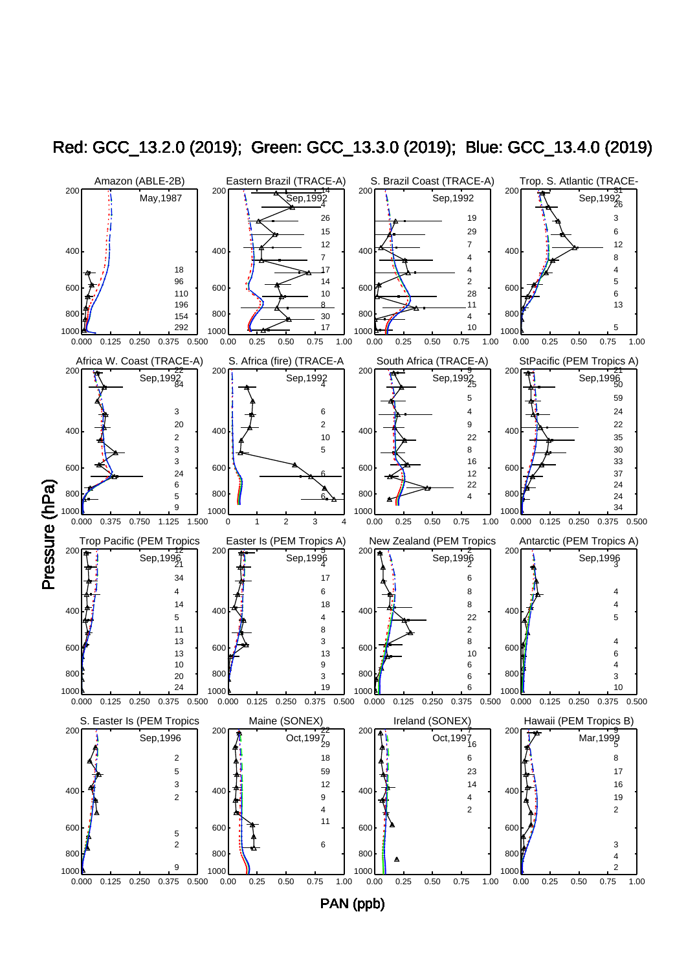

Red: GCC\_13.2.0 (2019); Green: GCC\_13.3.0 (2019); Blue: GCC\_13.4.0 (2019)

PAN (ppb)